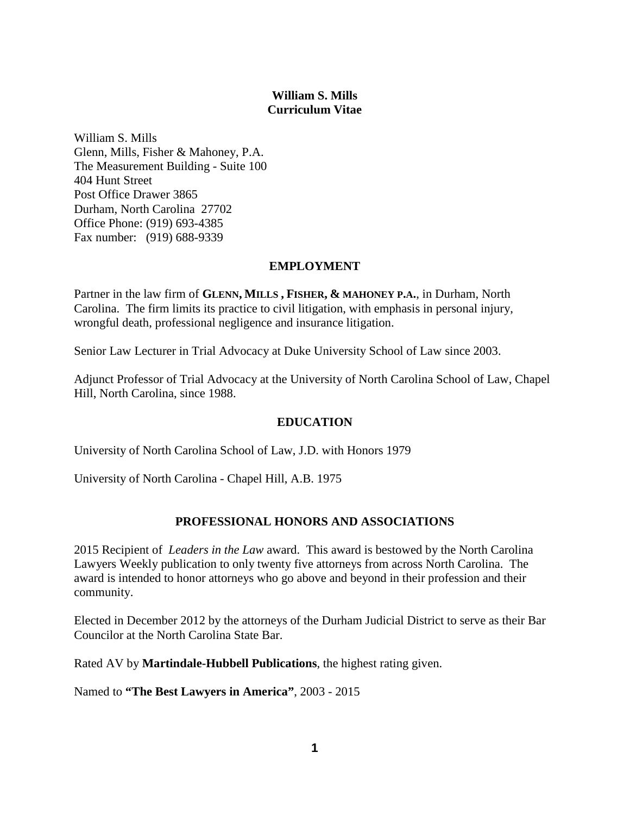# **William S. Mills Curriculum Vitae**

William S. Mills Glenn, Mills, Fisher & Mahoney, P.A. The Measurement Building - Suite 100 404 Hunt Street Post Office Drawer 3865 Durham, North Carolina 27702 Office Phone: (919) 693-4385 Fax number: (919) 688-9339

## **EMPLOYMENT**

Partner in the law firm of **GLENN, MILLS , FISHER, & MAHONEY P.A.**, in Durham, North Carolina. The firm limits its practice to civil litigation, with emphasis in personal injury, wrongful death, professional negligence and insurance litigation.

Senior Law Lecturer in Trial Advocacy at Duke University School of Law since 2003.

Adjunct Professor of Trial Advocacy at the University of North Carolina School of Law, Chapel Hill, North Carolina, since 1988.

## **EDUCATION**

University of North Carolina School of Law, J.D. with Honors 1979

University of North Carolina - Chapel Hill, A.B. 1975

# **PROFESSIONAL HONORS AND ASSOCIATIONS**

2015 Recipient of *Leaders in the Law* award. This award is bestowed by the North Carolina Lawyers Weekly publication to only twenty five attorneys from across North Carolina. The award is intended to honor attorneys who go above and beyond in their profession and their community.

Elected in December 2012 by the attorneys of the Durham Judicial District to serve as their Bar Councilor at the North Carolina State Bar.

Rated AV by **Martindale-Hubbell Publications**, the highest rating given.

Named to **"The Best Lawyers in America"**, 2003 - 2015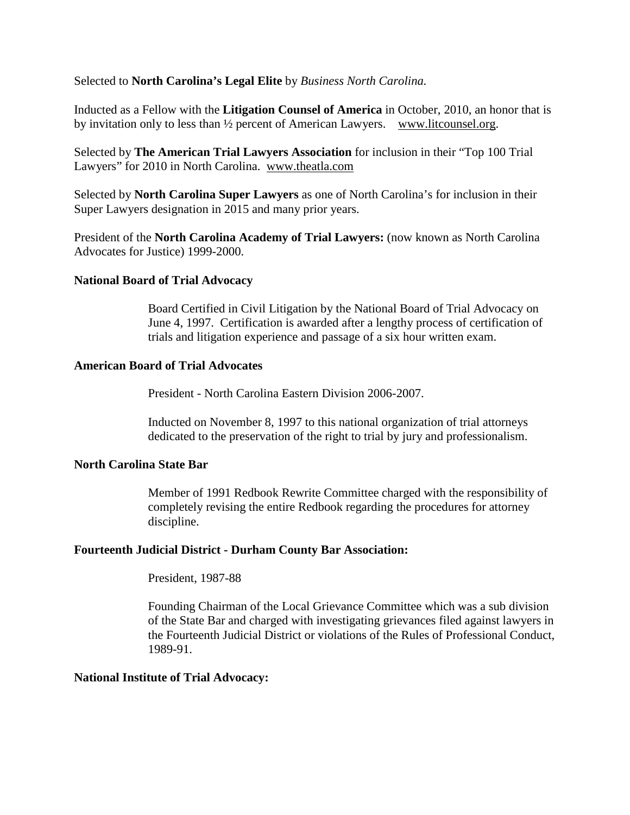Selected to **North Carolina's Legal Elite** by *Business North Carolina.* 

Inducted as a Fellow with the **Litigation Counsel of America** in October, 2010, an honor that is by invitation only to less than ½ percent of American Lawyers. www.litcounsel.org.

Selected by **The American Trial Lawyers Association** for inclusion in their "Top 100 Trial Lawyers" for 2010 in North Carolina. www.theatla.com

Selected by **North Carolina Super Lawyers** as one of North Carolina's for inclusion in their Super Lawyers designation in 2015 and many prior years.

President of the **North Carolina Academy of Trial Lawyers:** (now known as North Carolina Advocates for Justice) 1999-2000.

### **National Board of Trial Advocacy**

Board Certified in Civil Litigation by the National Board of Trial Advocacy on June 4, 1997. Certification is awarded after a lengthy process of certification of trials and litigation experience and passage of a six hour written exam.

#### **American Board of Trial Advocates**

President - North Carolina Eastern Division 2006-2007.

Inducted on November 8, 1997 to this national organization of trial attorneys dedicated to the preservation of the right to trial by jury and professionalism.

## **North Carolina State Bar**

Member of 1991 Redbook Rewrite Committee charged with the responsibility of completely revising the entire Redbook regarding the procedures for attorney discipline.

#### **Fourteenth Judicial District - Durham County Bar Association:**

President, 1987-88

Founding Chairman of the Local Grievance Committee which was a sub division of the State Bar and charged with investigating grievances filed against lawyers in the Fourteenth Judicial District or violations of the Rules of Professional Conduct, 1989-91.

#### **National Institute of Trial Advocacy:**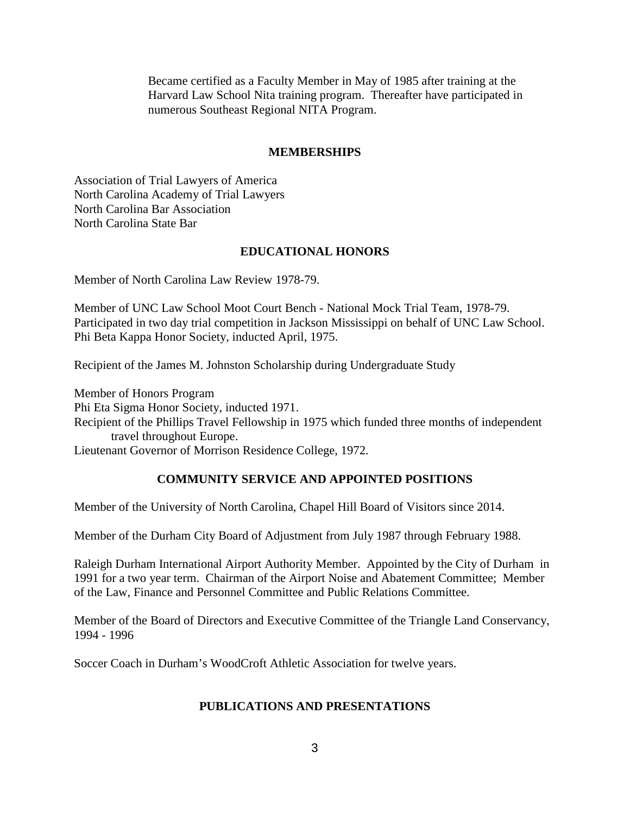Became certified as a Faculty Member in May of 1985 after training at the Harvard Law School Nita training program. Thereafter have participated in numerous Southeast Regional NITA Program.

## **MEMBERSHIPS**

Association of Trial Lawyers of America North Carolina Academy of Trial Lawyers North Carolina Bar Association North Carolina State Bar

## **EDUCATIONAL HONORS**

Member of North Carolina Law Review 1978-79.

Member of UNC Law School Moot Court Bench - National Mock Trial Team, 1978-79. Participated in two day trial competition in Jackson Mississippi on behalf of UNC Law School. Phi Beta Kappa Honor Society, inducted April, 1975.

Recipient of the James M. Johnston Scholarship during Undergraduate Study

Member of Honors Program

Phi Eta Sigma Honor Society, inducted 1971.

Recipient of the Phillips Travel Fellowship in 1975 which funded three months of independent travel throughout Europe.

Lieutenant Governor of Morrison Residence College, 1972.

## **COMMUNITY SERVICE AND APPOINTED POSITIONS**

Member of the University of North Carolina, Chapel Hill Board of Visitors since 2014.

Member of the Durham City Board of Adjustment from July 1987 through February 1988.

Raleigh Durham International Airport Authority Member. Appointed by the City of Durham in 1991 for a two year term. Chairman of the Airport Noise and Abatement Committee; Member of the Law, Finance and Personnel Committee and Public Relations Committee.

Member of the Board of Directors and Executive Committee of the Triangle Land Conservancy, 1994 - 1996

Soccer Coach in Durham's WoodCroft Athletic Association for twelve years.

## **PUBLICATIONS AND PRESENTATIONS**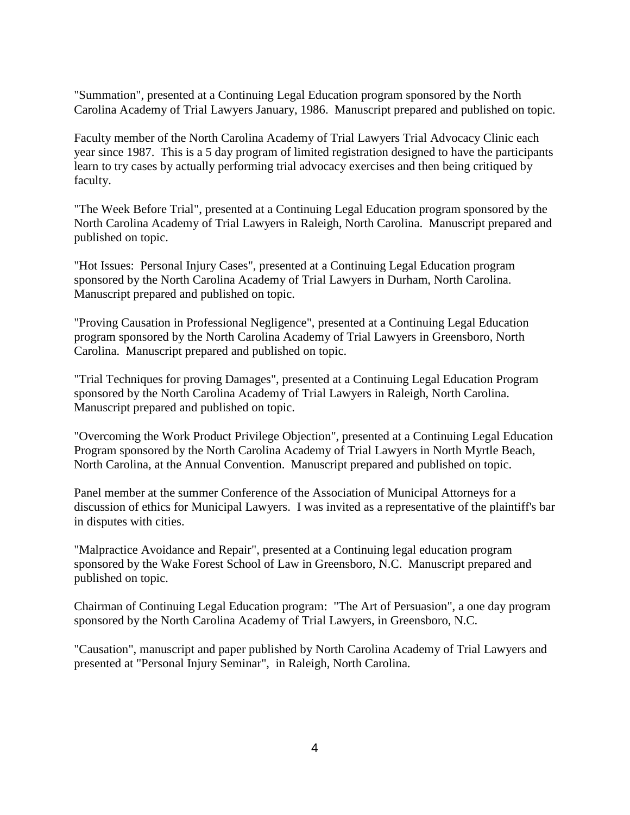"Summation", presented at a Continuing Legal Education program sponsored by the North Carolina Academy of Trial Lawyers January, 1986. Manuscript prepared and published on topic.

Faculty member of the North Carolina Academy of Trial Lawyers Trial Advocacy Clinic each year since 1987. This is a 5 day program of limited registration designed to have the participants learn to try cases by actually performing trial advocacy exercises and then being critiqued by faculty.

"The Week Before Trial", presented at a Continuing Legal Education program sponsored by the North Carolina Academy of Trial Lawyers in Raleigh, North Carolina. Manuscript prepared and published on topic.

"Hot Issues: Personal Injury Cases", presented at a Continuing Legal Education program sponsored by the North Carolina Academy of Trial Lawyers in Durham, North Carolina. Manuscript prepared and published on topic.

"Proving Causation in Professional Negligence", presented at a Continuing Legal Education program sponsored by the North Carolina Academy of Trial Lawyers in Greensboro, North Carolina. Manuscript prepared and published on topic.

"Trial Techniques for proving Damages", presented at a Continuing Legal Education Program sponsored by the North Carolina Academy of Trial Lawyers in Raleigh, North Carolina. Manuscript prepared and published on topic.

"Overcoming the Work Product Privilege Objection", presented at a Continuing Legal Education Program sponsored by the North Carolina Academy of Trial Lawyers in North Myrtle Beach, North Carolina, at the Annual Convention. Manuscript prepared and published on topic.

Panel member at the summer Conference of the Association of Municipal Attorneys for a discussion of ethics for Municipal Lawyers. I was invited as a representative of the plaintiff's bar in disputes with cities.

"Malpractice Avoidance and Repair", presented at a Continuing legal education program sponsored by the Wake Forest School of Law in Greensboro, N.C. Manuscript prepared and published on topic.

Chairman of Continuing Legal Education program: "The Art of Persuasion", a one day program sponsored by the North Carolina Academy of Trial Lawyers, in Greensboro, N.C.

"Causation", manuscript and paper published by North Carolina Academy of Trial Lawyers and presented at "Personal Injury Seminar", in Raleigh, North Carolina.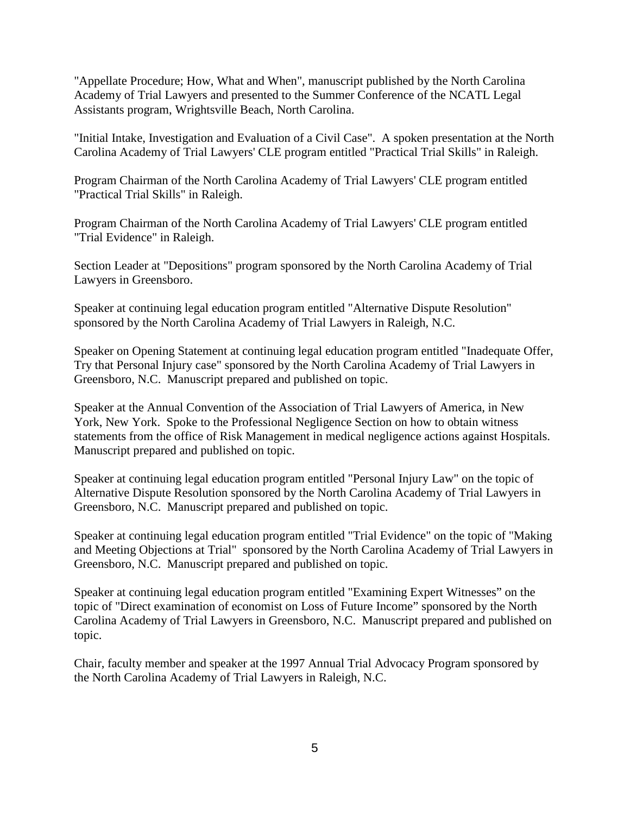"Appellate Procedure; How, What and When", manuscript published by the North Carolina Academy of Trial Lawyers and presented to the Summer Conference of the NCATL Legal Assistants program, Wrightsville Beach, North Carolina.

"Initial Intake, Investigation and Evaluation of a Civil Case". A spoken presentation at the North Carolina Academy of Trial Lawyers' CLE program entitled "Practical Trial Skills" in Raleigh.

Program Chairman of the North Carolina Academy of Trial Lawyers' CLE program entitled "Practical Trial Skills" in Raleigh.

Program Chairman of the North Carolina Academy of Trial Lawyers' CLE program entitled "Trial Evidence" in Raleigh.

Section Leader at "Depositions" program sponsored by the North Carolina Academy of Trial Lawyers in Greensboro.

Speaker at continuing legal education program entitled "Alternative Dispute Resolution" sponsored by the North Carolina Academy of Trial Lawyers in Raleigh, N.C.

Speaker on Opening Statement at continuing legal education program entitled "Inadequate Offer, Try that Personal Injury case" sponsored by the North Carolina Academy of Trial Lawyers in Greensboro, N.C. Manuscript prepared and published on topic.

Speaker at the Annual Convention of the Association of Trial Lawyers of America, in New York, New York. Spoke to the Professional Negligence Section on how to obtain witness statements from the office of Risk Management in medical negligence actions against Hospitals. Manuscript prepared and published on topic.

Speaker at continuing legal education program entitled "Personal Injury Law" on the topic of Alternative Dispute Resolution sponsored by the North Carolina Academy of Trial Lawyers in Greensboro, N.C. Manuscript prepared and published on topic.

Speaker at continuing legal education program entitled "Trial Evidence" on the topic of "Making and Meeting Objections at Trial" sponsored by the North Carolina Academy of Trial Lawyers in Greensboro, N.C. Manuscript prepared and published on topic.

Speaker at continuing legal education program entitled "Examining Expert Witnesses" on the topic of "Direct examination of economist on Loss of Future Income" sponsored by the North Carolina Academy of Trial Lawyers in Greensboro, N.C. Manuscript prepared and published on topic.

Chair, faculty member and speaker at the 1997 Annual Trial Advocacy Program sponsored by the North Carolina Academy of Trial Lawyers in Raleigh, N.C.